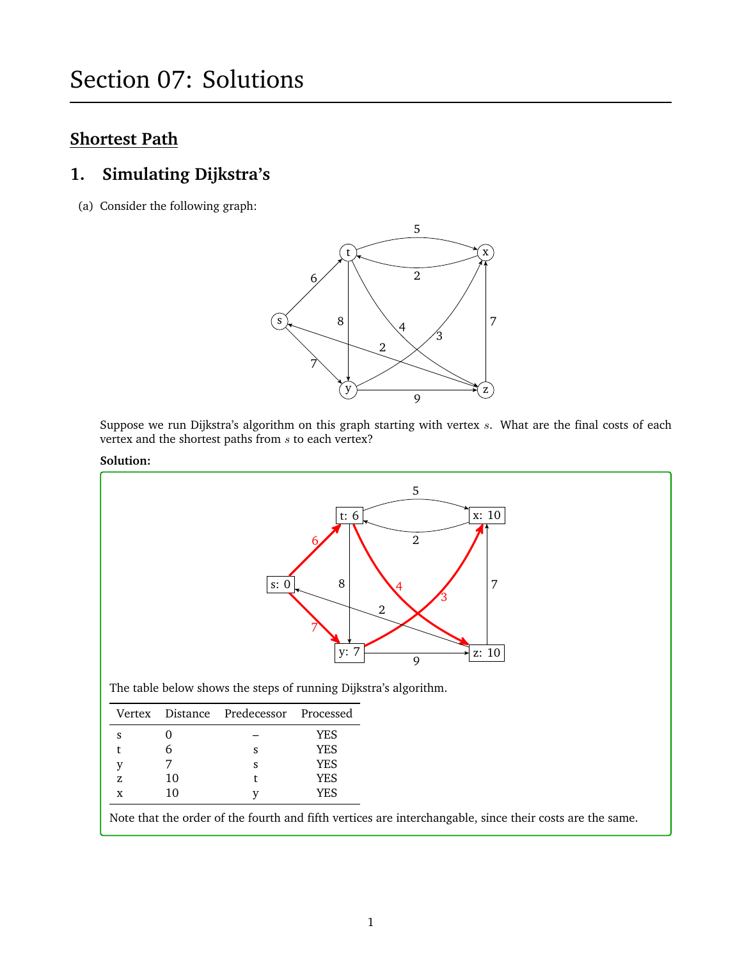# **Shortest Path**

# **1. Simulating Dijkstra's**

(a) Consider the following graph:



Suppose we run Dijkstra's algorithm on this graph starting with vertex  $s$ . What are the final costs of each vertex and the shortest paths from  $s$  to each vertex?

#### **Solution:**



|    |    | Vertex Distance Predecessor Processed |            |
|----|----|---------------------------------------|------------|
|    |    |                                       | <b>YES</b> |
|    |    | s                                     | <b>YES</b> |
|    |    | ς                                     | <b>YES</b> |
| 7. | 10 |                                       | <b>YES</b> |
| x  | 10 |                                       | YES.       |

Note that the order of the fourth and fifth vertices are interchangable, since their costs are the same.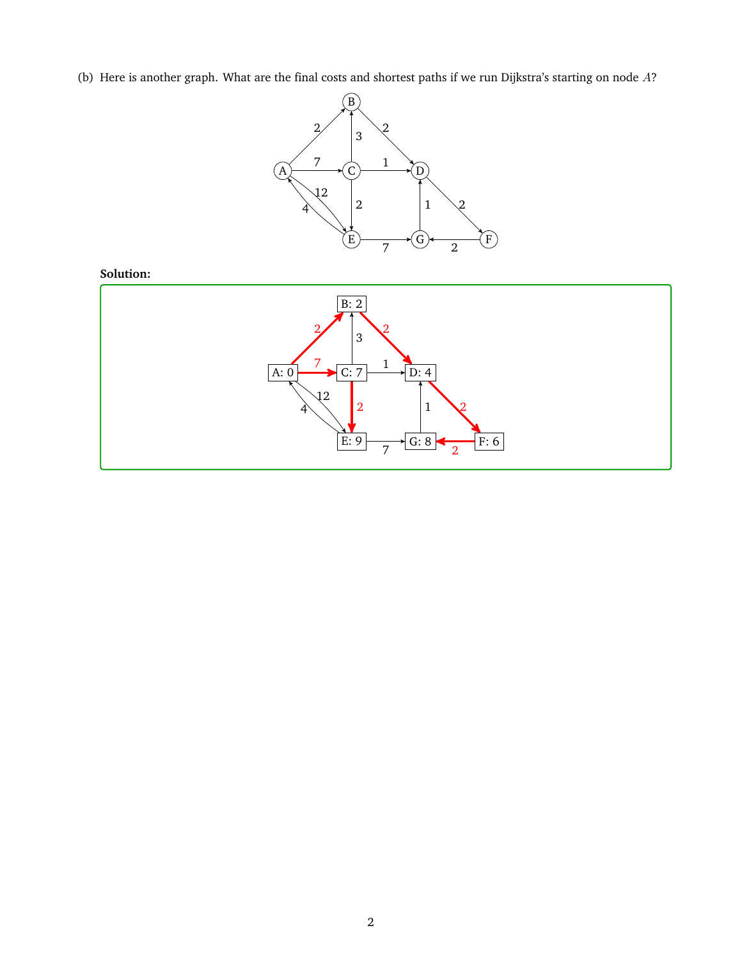(b) Here is another graph. What are the final costs and shortest paths if we run Dijkstra's starting on node  $A$ ?



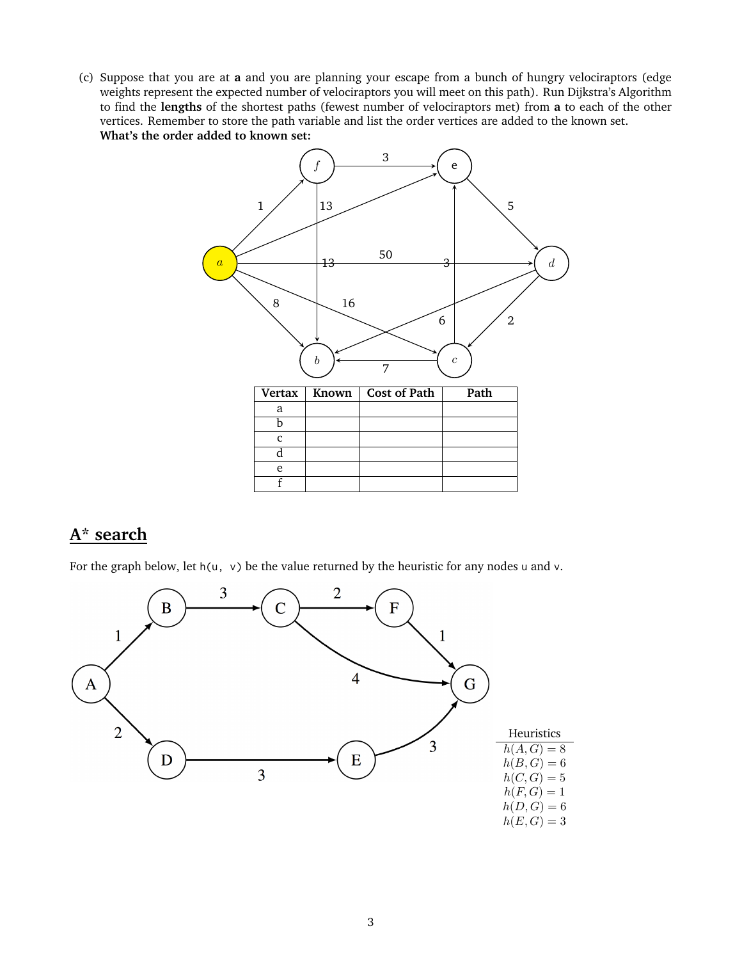(c) Suppose that you are at **a** and you are planning your escape from a bunch of hungry velociraptors (edge weights represent the expected number of velociraptors you will meet on this path). Run Dijkstra's Algorithm to find the **lengths** of the shortest paths (fewest number of velociraptors met) from **a** to each of the other vertices. Remember to store the path variable and list the order vertices are added to the known set. **What's the order added to known set:**



## **A\* search**

For the graph below, let  $h(u, v)$  be the value returned by the heuristic for any nodes u and v.

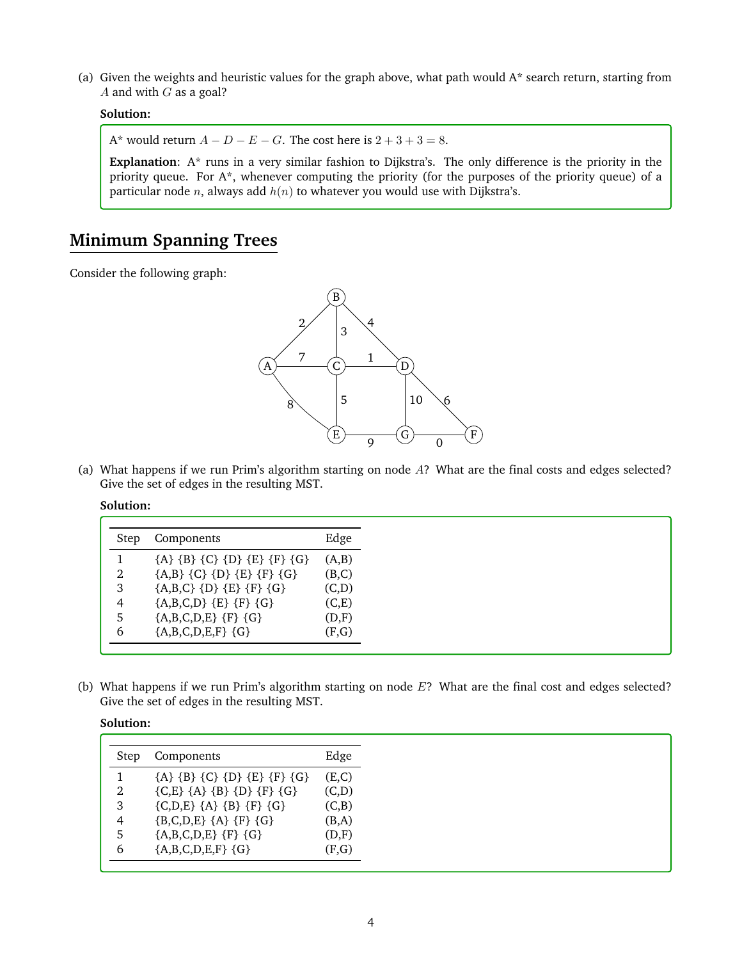(a) Given the weights and heuristic values for the graph above, what path would  $A^*$  search return, starting from A and with  $G$  as a goal?

### **Solution:**

A\* would return  $A - D - E - G$ . The cost here is  $2 + 3 + 3 = 8$ .

**Explanation**: A\* runs in a very similar fashion to Dijkstra's. The only difference is the priority in the priority queue. For A\*, whenever computing the priority (for the purposes of the priority queue) of a particular node *n*, always add  $h(n)$  to whatever you would use with Dijkstra's.

# **Minimum Spanning Trees**

Consider the following graph:



(a) What happens if we run Prim's algorithm starting on node A? What are the final costs and edges selected? Give the set of edges in the resulting MST.

#### **Solution:**

| Step | Components                    | Edge  |
|------|-------------------------------|-------|
|      | ${A} {B} {C} {D} {E} {F} {G}$ | (A,B) |
|      | ${A,B} {C} {D} {E} {F} {G}$   | (B,C) |
| 3    | ${A,B,C} {D} {E} {F} {G}$     | (C,D) |
| 4    | ${A,B,C,D} {E} {F} {G}$       | (C,E) |
|      | ${A,B,C,D,E}$ {F} {G}         | (D,F) |
| b    | ${A,B,C,D,E,F}$ ${G}$         | (F,G) |
|      |                               |       |

(b) What happens if we run Prim's algorithm starting on node  $E$ ? What are the final cost and edges selected? Give the set of edges in the resulting MST.

| Step | Components                                | Edge  |
|------|-------------------------------------------|-------|
|      | ${A} {B} {C} {D} {E} {F} {G}$             | (E,C) |
| 2    | ${C, E} {A} {B} {D} {F} {G}$              | (C,D) |
| 3    | $(C,D,E)$ $\{A\}$ $\{B\}$ $\{F\}$ $\{G\}$ | (C,B) |
| 4    | ${B,C,D,E} {A} {F} {G}$                   | (B,A) |
| 5    | ${A,B,C,D,E}$ {F} {G}                     | (D,F) |
| 6    | ${A,B,C,D,E,F}$ ${G}$                     | (F,G) |
|      |                                           |       |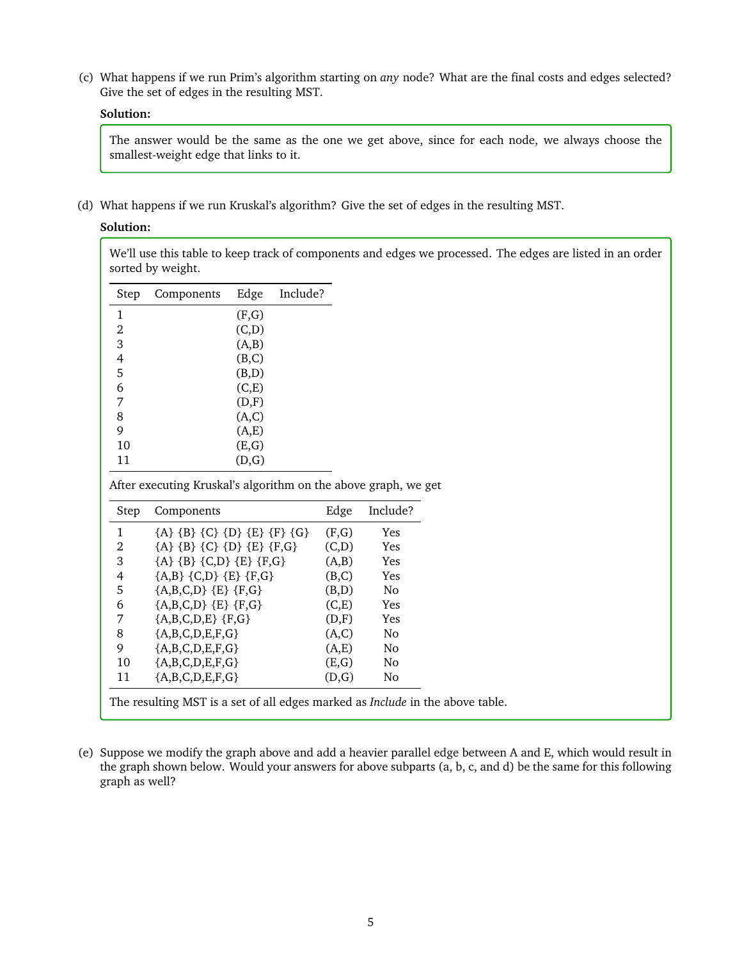(c) What happens if we run Prim's algorithm starting on *any* node? What are the final costs and edges selected? Give the set of edges in the resulting MST.

### **Solution:**

The answer would be the same as the one we get above, since for each node, we always choose the smallest-weight edge that links to it.

(d) What happens if we run Kruskal's algorithm? Give the set of edges in the resulting MST.

## **Solution:**

We'll use this table to keep track of components and edges we processed. The edges are listed in an order sorted by weight.

| Step | Components | Edge  | Include? |
|------|------------|-------|----------|
| 1    |            | (F,G) |          |
| 2    |            | (C,D) |          |
| 3    |            | (A,B) |          |
| 4    |            | (B,C) |          |
| 5    |            | (B,D) |          |
| 6    |            | (C,E) |          |
| 7    |            | (D,F) |          |
| 8    |            | (A,C) |          |
| 9    |            | (A,E) |          |
| 10   |            | (E,G) |          |
| 11   |            | (D,G) |          |

After executing Kruskal's algorithm on the above graph, we get

| Step | Components                    | Edge  | Include?       |
|------|-------------------------------|-------|----------------|
| 1    | ${A} {B} {C} {D} {E} {F} {G}$ | (F,G) | <b>Yes</b>     |
| 2    | ${A} {B} {C} {D} {E} {F,G}$   | (C,D) | <b>Yes</b>     |
| 3    | ${A} {B} {C,D} {E} {F,G}$     | (A,B) | Yes            |
| 4    | ${A,B} {C,D} {E} {F,G}$       | (B,C) | <b>Yes</b>     |
| 5    | ${A,B,C,D}$ ${E}$ ${F,G}$     | (B,D) | No.            |
| 6    | ${A,B,C,D}$ ${E}$ ${F,G}$     | (C,E) | Yes            |
| 7    | ${A,B,C,D,E}$ {F,G}           | (D,F) | Yes            |
| 8    | ${A,B,C,D,E,F,G}$             | (A,C) | N <sub>o</sub> |
| 9    | ${A,B,C,D,E,F,G}$             | (A,E) | N <sub>0</sub> |
| 10   | ${A,B,C,D,E,F,G}$             | (E,G) | N <sub>o</sub> |
| 11   | ${A,B,C,D,E,F,G}$             | (D,G) | No.            |

(e) Suppose we modify the graph above and add a heavier parallel edge between A and E, which would result in the graph shown below. Would your answers for above subparts (a, b, c, and d) be the same for this following graph as well?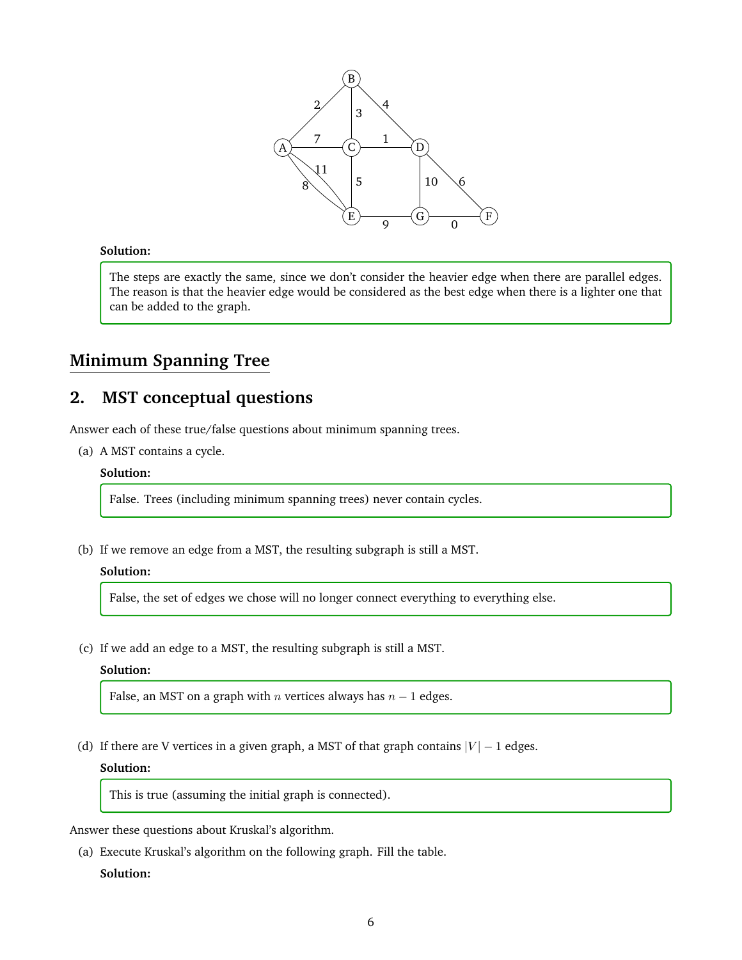

#### **Solution:**

The steps are exactly the same, since we don't consider the heavier edge when there are parallel edges. The reason is that the heavier edge would be considered as the best edge when there is a lighter one that can be added to the graph.

# **Minimum Spanning Tree**

## **2. MST conceptual questions**

Answer each of these true/false questions about minimum spanning trees.

(a) A MST contains a cycle.

#### **Solution:**

False. Trees (including minimum spanning trees) never contain cycles.

(b) If we remove an edge from a MST, the resulting subgraph is still a MST.

#### **Solution:**

False, the set of edges we chose will no longer connect everything to everything else.

(c) If we add an edge to a MST, the resulting subgraph is still a MST.

#### **Solution:**

False, an MST on a graph with *n* vertices always has  $n - 1$  edges.

(d) If there are V vertices in a given graph, a MST of that graph contains  $|V| - 1$  edges.

#### **Solution:**

This is true (assuming the initial graph is connected).

Answer these questions about Kruskal's algorithm.

(a) Execute Kruskal's algorithm on the following graph. Fill the table.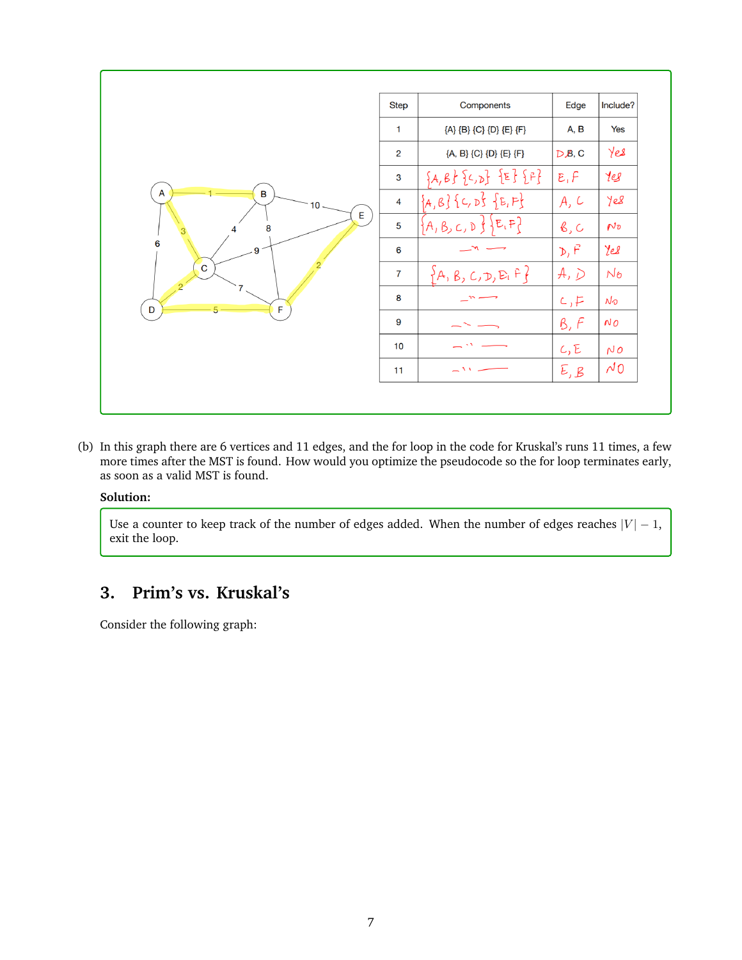|                             | <b>Step</b>    | Components                     | Edge          | Include?          |
|-----------------------------|----------------|--------------------------------|---------------|-------------------|
| A<br>B<br>10<br>E<br>8<br>4 | $\mathbf{1}$   | {A} {B} {C} {D} {E} {F}        | A, B          | Yes               |
|                             | $\overline{2}$ | {A, B} {C} {D} {E} {F}         | $D$ $B$ , C   | Yes               |
|                             | 3              | ${A,B}$ ${C,D}$ ${E}$ ${F}$    | E, F          | 10 <sup>2</sup>   |
|                             | 4              | ${A, B}$ { $C, D$ } { $E, F$ } | A, C          | Yes               |
|                             | 5              | $\{A, B, C, D\}$ $E,F$         | $\beta$ , $C$ | $N_{\mathcal{D}}$ |
| 6<br>9                      | 6              |                                | D, F          | Yes               |
| $\overline{C}$              | $\overline{7}$ | ${A, B, C, D, E, F}$           | A, D          | $N_{\sigma}$      |
| F<br>D                      | 8              |                                | c, F          | No                |
|                             | 9              |                                | B, F          | NO                |
|                             | 10             |                                | C, E          | NO                |
|                             | 11             | $\sim$ 1.1                     | E, B          | $\sim 0$          |

(b) In this graph there are 6 vertices and 11 edges, and the for loop in the code for Kruskal's runs 11 times, a few more times after the MST is found. How would you optimize the pseudocode so the for loop terminates early, as soon as a valid MST is found.

#### **Solution:**

Use a counter to keep track of the number of edges added. When the number of edges reaches  $|V| - 1$ , exit the loop.

# **3. Prim's vs. Kruskal's**

Consider the following graph: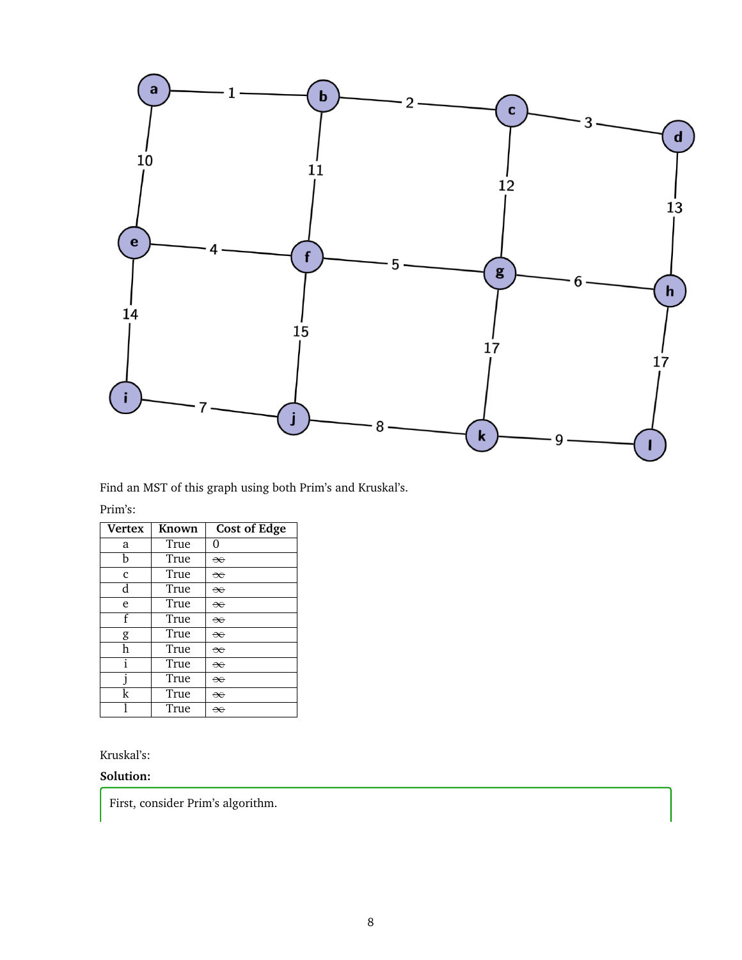

Find an MST of this graph using both Prim's and Kruskal's.

#### Prim's:

| <b>Vertex</b> | Known | <b>Cost of Edge</b> |
|---------------|-------|---------------------|
| a             | True  | O                   |
| h             | True  | $\infty$            |
| $\mathbf{c}$  | True  | $\infty$            |
| d             | True  | $\infty$            |
| e             | True  | $\infty$            |
| f             | True  | $\infty$            |
| g             | True  | $\infty$            |
| h             | True  | $\infty$            |
| i             | True  | $\infty$            |
|               | True  | $\infty$            |
| k             | True  | $\infty$            |
|               | True  | ₩                   |

## Kruskal's:

## **Solution:**

First, consider Prim's algorithm.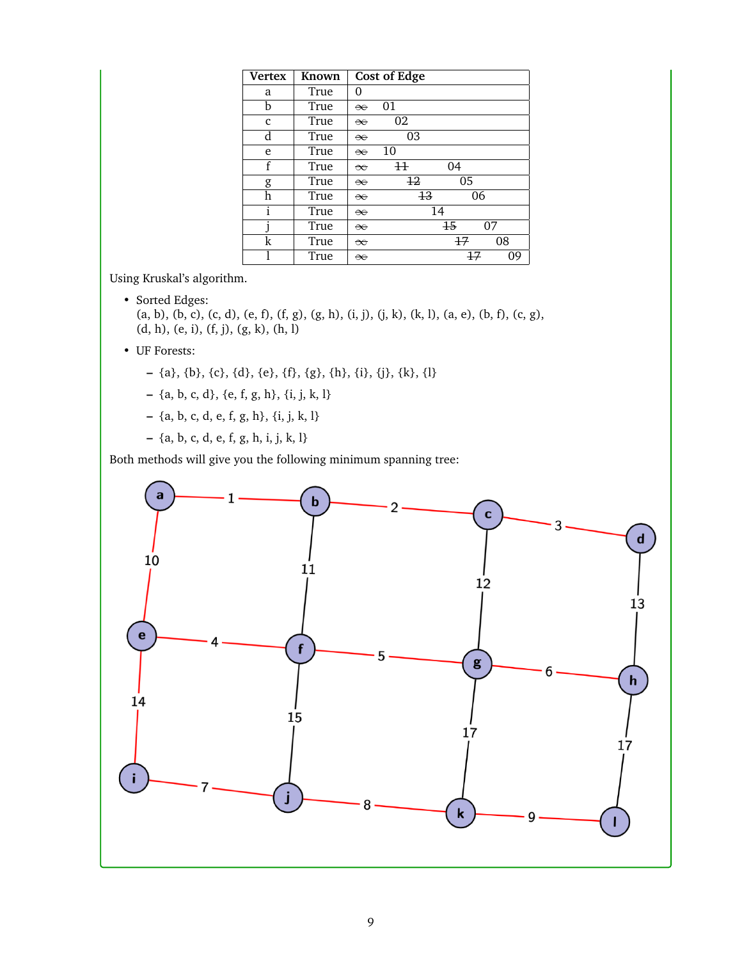| <b>Vertex</b> | Known |          | <b>Cost of Edge</b> |      |    |    |
|---------------|-------|----------|---------------------|------|----|----|
| a             | True  | 0        |                     |      |    |    |
| b             | True  | $\infty$ | 01                  |      |    |    |
| c             | True  | $\infty$ | 02                  |      |    |    |
| d             | True  | $\infty$ | 03                  |      |    |    |
| e             | True  | $\infty$ | 10                  |      |    |    |
| f             | True  | $\infty$ | $^{\rm 11}$         | 04   |    |    |
| g             | True  | $\infty$ | $+2$                |      | 05 |    |
| h             | True  | $\infty$ | $+3$                |      | 06 |    |
| i             | True  | $\infty$ |                     | 14   |    |    |
|               | True  | $\infty$ |                     | $+5$ |    | 07 |
| k             | True  | $\infty$ |                     | 47   |    | 08 |
|               | True  | $\infty$ |                     |      | 47 | 09 |

Using Kruskal's algorithm.

• Sorted Edges: (a, b), (b, c), (c, d), (e, f), (f, g), (g, h), (i, j), (j, k), (k, l), (a, e), (b, f), (c, g), (d, h), (e, i), (f, j), (g, k), (h, l)

- UF Forests:
	- **–** {a}, {b}, {c}, {d}, {e}, {f}, {g}, {h}, {i}, {j}, {k}, {l}
	- **–** {a, b, c, d}, {e, f, g, h}, {i, j, k, l}
	- **–** {a, b, c, d, e, f, g, h}, {i, j, k, l}
	- **–** {a, b, c, d, e, f, g, h, i, j, k, l}

Both methods will give you the following minimum spanning tree:

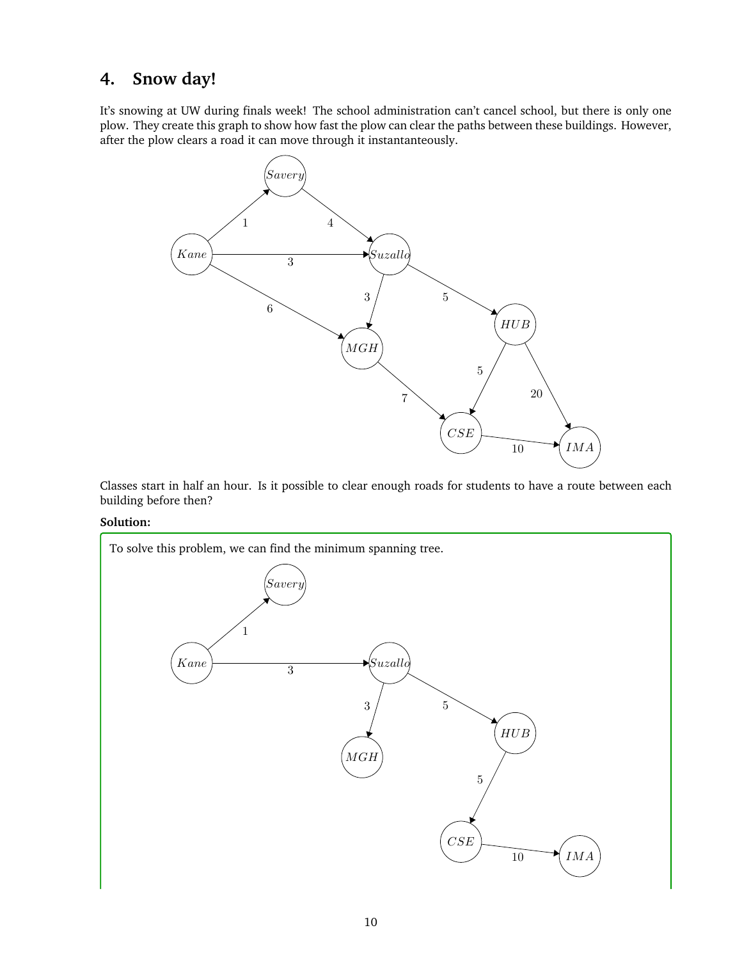# **4. Snow day!**

It's snowing at UW during finals week! The school administration can't cancel school, but there is only one plow. They create this graph to show how fast the plow can clear the paths between these buildings. However, after the plow clears a road it can move through it instantanteously.



Classes start in half an hour. Is it possible to clear enough roads for students to have a route between each building before then?

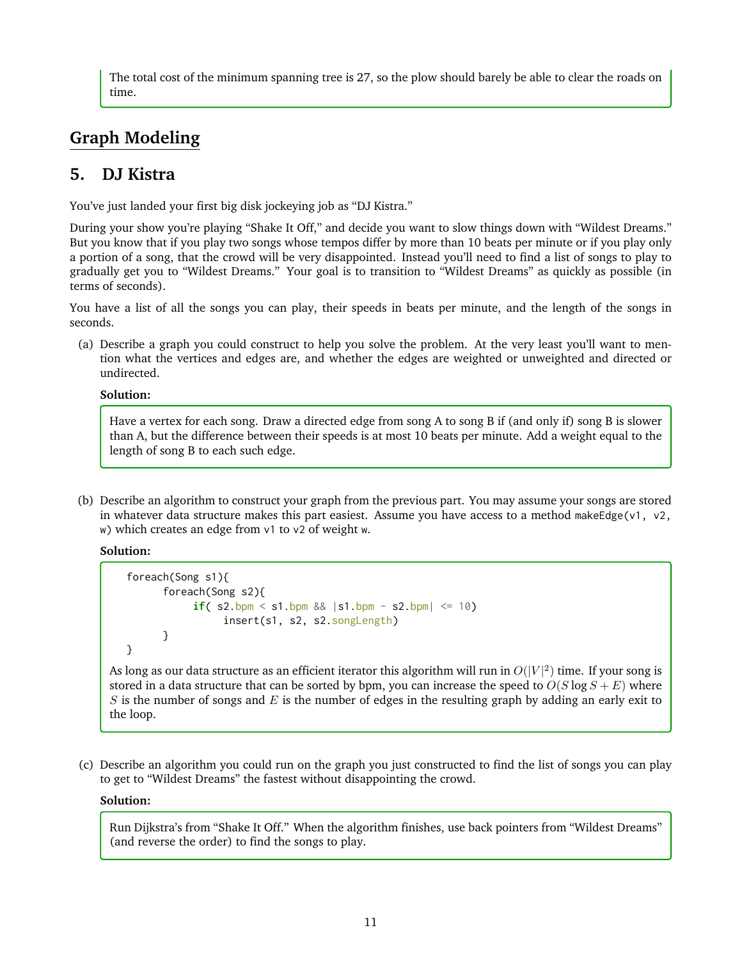The total cost of the minimum spanning tree is 27, so the plow should barely be able to clear the roads on time.

# **Graph Modeling**

# **5. DJ Kistra**

You've just landed your first big disk jockeying job as "DJ Kistra."

During your show you're playing "Shake It Off," and decide you want to slow things down with "Wildest Dreams." But you know that if you play two songs whose tempos differ by more than 10 beats per minute or if you play only a portion of a song, that the crowd will be very disappointed. Instead you'll need to find a list of songs to play to gradually get you to "Wildest Dreams." Your goal is to transition to "Wildest Dreams" as quickly as possible (in terms of seconds).

You have a list of all the songs you can play, their speeds in beats per minute, and the length of the songs in seconds.

(a) Describe a graph you could construct to help you solve the problem. At the very least you'll want to mention what the vertices and edges are, and whether the edges are weighted or unweighted and directed or undirected.

#### **Solution:**

Have a vertex for each song. Draw a directed edge from song A to song B if (and only if) song B is slower than A, but the difference between their speeds is at most 10 beats per minute. Add a weight equal to the length of song B to each such edge.

(b) Describe an algorithm to construct your graph from the previous part. You may assume your songs are stored in whatever data structure makes this part easiest. Assume you have access to a method makeEdge(v1, v2, w) which creates an edge from v1 to v2 of weight w.

**Solution:**

```
foreach(Song s1){
      foreach(Song s2){
           if( s2.bpm < s1.bpm &8. |s1.bpm - s2.bpm| <= 10)
                insert(s1, s2, s2.songLength)
      }
}
```
As long as our data structure as an efficient iterator this algorithm will run in  $O(|V|^2)$  time. If your song is stored in a data structure that can be sorted by bpm, you can increase the speed to  $O(S \log S + E)$  where  $S$  is the number of songs and  $E$  is the number of edges in the resulting graph by adding an early exit to the loop.

(c) Describe an algorithm you could run on the graph you just constructed to find the list of songs you can play to get to "Wildest Dreams" the fastest without disappointing the crowd.

## **Solution:**

Run Dijkstra's from "Shake It Off." When the algorithm finishes, use back pointers from "Wildest Dreams" (and reverse the order) to find the songs to play.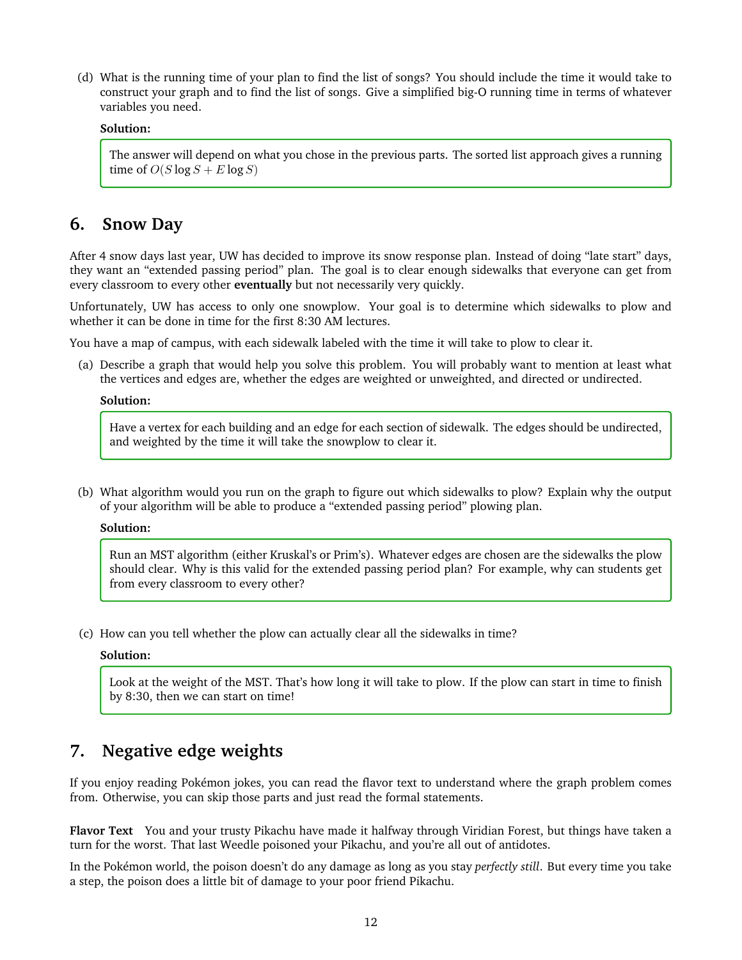(d) What is the running time of your plan to find the list of songs? You should include the time it would take to construct your graph and to find the list of songs. Give a simplified big-O running time in terms of whatever variables you need.

#### **Solution:**

The answer will depend on what you chose in the previous parts. The sorted list approach gives a running time of  $O(S \log S + E \log S)$ 

## **6. Snow Day**

After 4 snow days last year, UW has decided to improve its snow response plan. Instead of doing "late start" days, they want an "extended passing period" plan. The goal is to clear enough sidewalks that everyone can get from every classroom to every other **eventually** but not necessarily very quickly.

Unfortunately, UW has access to only one snowplow. Your goal is to determine which sidewalks to plow and whether it can be done in time for the first 8:30 AM lectures.

You have a map of campus, with each sidewalk labeled with the time it will take to plow to clear it.

(a) Describe a graph that would help you solve this problem. You will probably want to mention at least what the vertices and edges are, whether the edges are weighted or unweighted, and directed or undirected.

#### **Solution:**

Have a vertex for each building and an edge for each section of sidewalk. The edges should be undirected, and weighted by the time it will take the snowplow to clear it.

(b) What algorithm would you run on the graph to figure out which sidewalks to plow? Explain why the output of your algorithm will be able to produce a "extended passing period" plowing plan.

#### **Solution:**

Run an MST algorithm (either Kruskal's or Prim's). Whatever edges are chosen are the sidewalks the plow should clear. Why is this valid for the extended passing period plan? For example, why can students get from every classroom to every other?

(c) How can you tell whether the plow can actually clear all the sidewalks in time?

#### **Solution:**

Look at the weight of the MST. That's how long it will take to plow. If the plow can start in time to finish by 8:30, then we can start on time!

# **7. Negative edge weights**

If you enjoy reading Pokémon jokes, you can read the flavor text to understand where the graph problem comes from. Otherwise, you can skip those parts and just read the formal statements.

**Flavor Text** You and your trusty Pikachu have made it halfway through Viridian Forest, but things have taken a turn for the worst. That last Weedle poisoned your Pikachu, and you're all out of antidotes.

In the Pokémon world, the poison doesn't do any damage as long as you stay *perfectly still*. But every time you take a step, the poison does a little bit of damage to your poor friend Pikachu.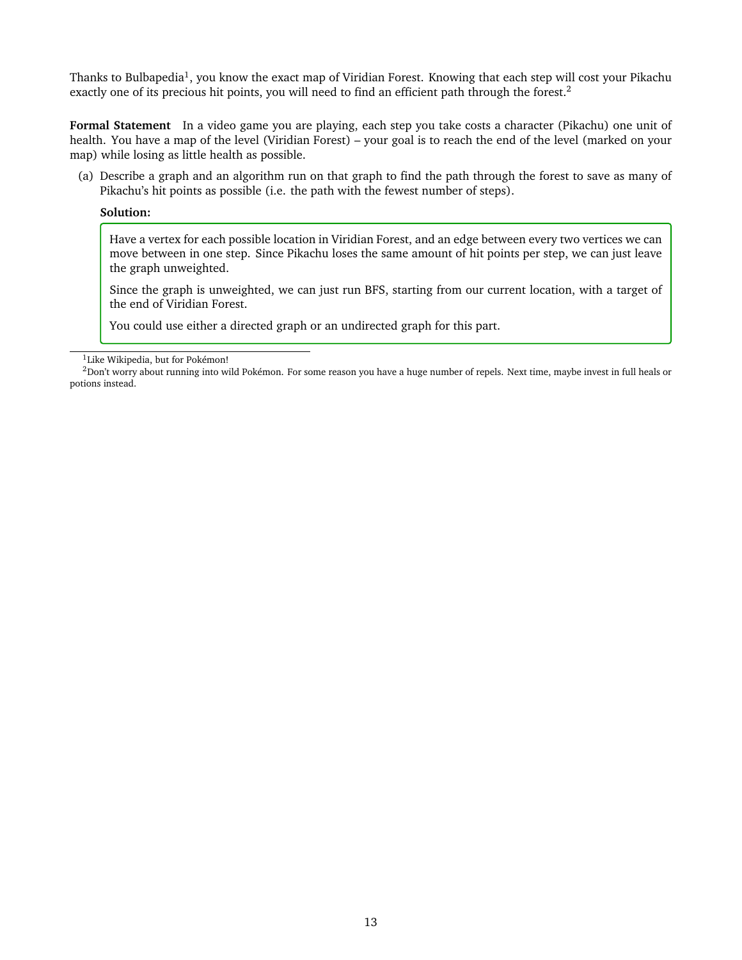Thanks to Bulbapedia<sup>[1](#page-12-0)</sup>, you know the exact map of Viridian Forest. Knowing that each step will cost your Pikachu exactly one of its precious hit points, you will need to find an efficient path through the forest.<sup>[2](#page-12-1)</sup>

**Formal Statement** In a video game you are playing, each step you take costs a character (Pikachu) one unit of health. You have a map of the level (Viridian Forest) – your goal is to reach the end of the level (marked on your map) while losing as little health as possible.

(a) Describe a graph and an algorithm run on that graph to find the path through the forest to save as many of Pikachu's hit points as possible (i.e. the path with the fewest number of steps).

#### **Solution:**

Have a vertex for each possible location in Viridian Forest, and an edge between every two vertices we can move between in one step. Since Pikachu loses the same amount of hit points per step, we can just leave the graph unweighted.

Since the graph is unweighted, we can just run BFS, starting from our current location, with a target of the end of Viridian Forest.

You could use either a directed graph or an undirected graph for this part.

<span id="page-12-1"></span><span id="page-12-0"></span><sup>1</sup>Like Wikipedia, but for Pokémon!

<sup>&</sup>lt;sup>2</sup>Don't worry about running into wild Pokémon. For some reason you have a huge number of repels. Next time, maybe invest in full heals or potions instead.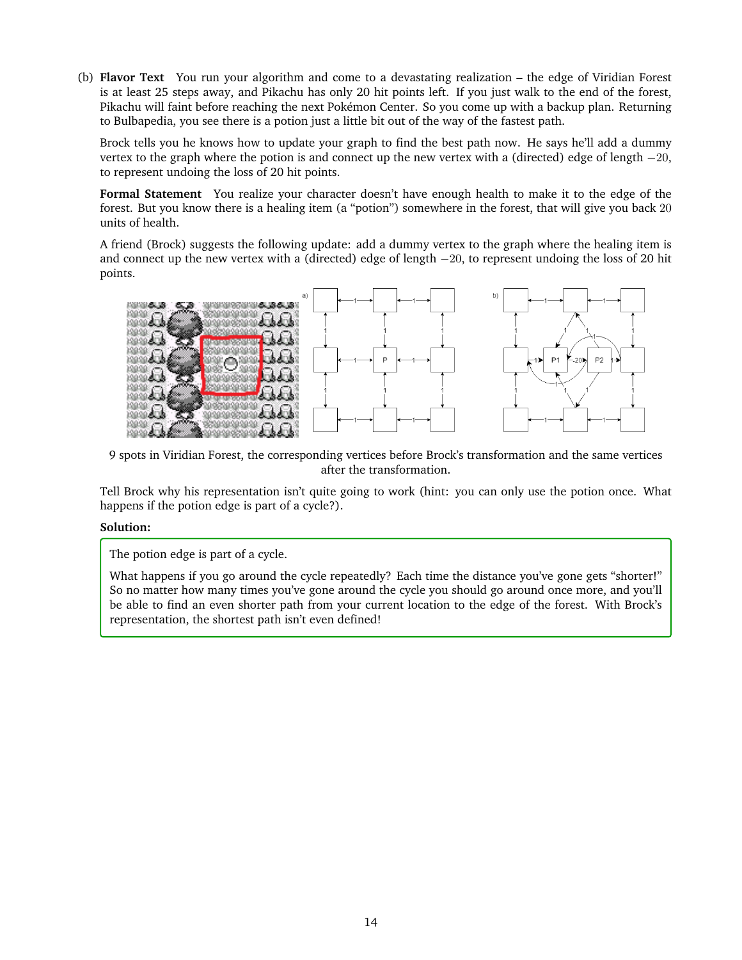(b) **Flavor Text** You run your algorithm and come to a devastating realization – the edge of Viridian Forest is at least 25 steps away, and Pikachu has only 20 hit points left. If you just walk to the end of the forest, Pikachu will faint before reaching the next Pokémon Center. So you come up with a backup plan. Returning to Bulbapedia, you see there is a potion just a little bit out of the way of the fastest path.

Brock tells you he knows how to update your graph to find the best path now. He says he'll add a dummy vertex to the graph where the potion is and connect up the new vertex with a (directed) edge of length  $-20$ , to represent undoing the loss of 20 hit points.

**Formal Statement** You realize your character doesn't have enough health to make it to the edge of the forest. But you know there is a healing item (a "potion") somewhere in the forest, that will give you back 20 units of health.

A friend (Brock) suggests the following update: add a dummy vertex to the graph where the healing item is and connect up the new vertex with a (directed) edge of length −20, to represent undoing the loss of 20 hit points.



9 spots in Viridian Forest, the corresponding vertices before Brock's transformation and the same vertices after the transformation.

Tell Brock why his representation isn't quite going to work (hint: you can only use the potion once. What happens if the potion edge is part of a cycle?).

#### **Solution:**

The potion edge is part of a cycle.

What happens if you go around the cycle repeatedly? Each time the distance you've gone gets "shorter!" So no matter how many times you've gone around the cycle you should go around once more, and you'll be able to find an even shorter path from your current location to the edge of the forest. With Brock's representation, the shortest path isn't even defined!